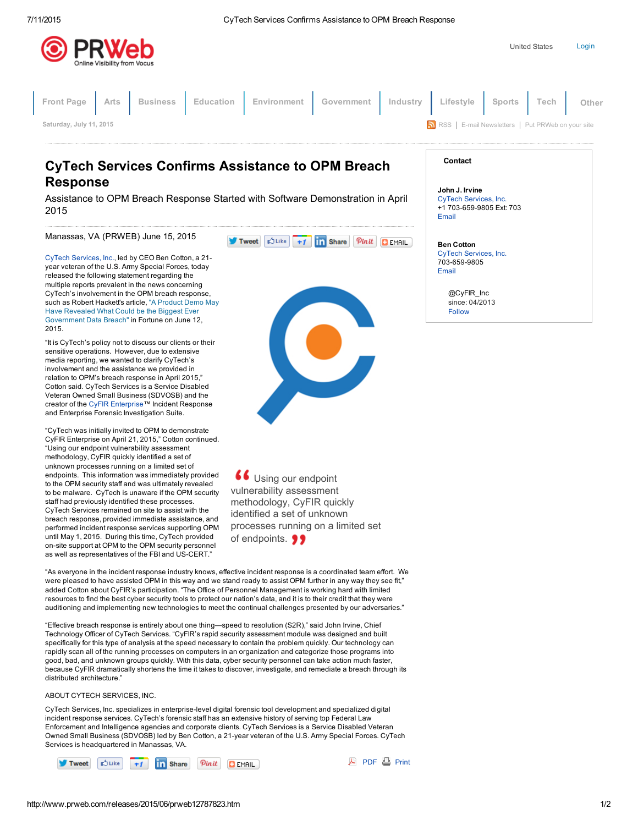



## CyTech Services Confirms Assistance to OPM Breach Response

Assistance to OPM Breach Response Started with Software Demonstration in April 2015

## Manassas, VA (PRWEB) June 15, 2015

CyTech [Services,](http://www.prweb.net/Redirect.aspx?id=aHR0cDovL3d3dy5jeXRlY2hzZXJ2aWNlcy5jb20=) Inc., led by CEO Ben Cotton, a 21 year veteran of the U.S. Army Special Forces, today released the following statement regarding the multiple reports prevalent in the news concerning CyTech's involvement in the OPM breach response, such as Robert Hackett's article, "A Product Demo May Have Revealed What Could be the Biggest Ever [Government](http://www.prweb.net/Redirect.aspx?id=aHR0cDovL2ZvcnR1bmUuY29tLzIwMTUvMDYvMTIvY3l0ZWNoLXByb2R1Y3QtZGVtby1vcG0tYnJlYWNoLw==) Data Breach" in Fortune on June 12, 2015.

"It is CyTech's policy not to discuss our clients or their sensitive operations. However, due to extensive media reporting, we wanted to clarify CyTech's involvement and the assistance we provided in relation to OPM's breach response in April 2015," Cotton said. CyTech Services is a Service Disabled Veteran Owned Small Business (SDVOSB) and the creator of the CyFIR [Enterprise™](http://www.prweb.net/Redirect.aspx?id=aHR0cDovL3d3dy5jeWZpcmVudGVycHJpc2UuY29t) Incident Response and Enterprise Forensic Investigation Suite.

"CyTech was initially invited to OPM to demonstrate CyFIR Enterprise on April 21, 2015," Cotton continued. "Using our endpoint vulnerability assessment methodology, CyFIR quickly identified a set of unknown processes running on a limited set of endpoints. This information was immediately provided to the OPM security staff and was ultimately revealed to be malware. CyTech is unaware if the OPM security staff had previously identified these processes. CyTech Services remained on site to assist with the breach response, provided immediate assistance, and performed incident response services supporting OPM until May 1, 2015. During this time, CyTech provided on-site support at OPM to the OPM security personnel as well as representatives of the FBI and US-CERT."



66 Using our endpoint vulnerability assessment methodology, CyFIR quickly identified a set of unknown processes running on a limited set of endpoints. **99** 

"As everyone in the incident response industry knows, effective incident response is a coordinated team effort. We were pleased to have assisted OPM in this way and we stand ready to assist OPM further in any way they see fit," added Cotton about CyFIR's participation. "The Office of Personnel Management is working hard with limited resources to find the best cyber security tools to protect our nation's data, and it is to their credit that they were auditioning and implementing new technologies to meet the continual challenges presented by our adversaries."

"Effective breach response is entirely about one thing—speed to resolution (S2R)," said John Irvine, Chief Technology Officer of CyTech Services. "CyFIR's rapid security assessment module was designed and built specifically for this type of analysis at the speed necessary to contain the problem quickly. Our technology can rapidly scan all of the running processes on computers in an organization and categorize those programs into good, bad, and unknown groups quickly. With this data, cyber security personnel can take action much faster, because CyFIR dramatically shortens the time it takes to discover, investigate, and remediate a breach through its distributed architecture."

## ABOUT CYTECH SERVICES, INC.

CyTech Services, Inc. specializes in enterpriselevel digital forensic tool development and specialized digital incident response services. CyTech's forensic staff has an extensive history of serving top Federal Law Enforcement and Intelligence agencies and corporate clients. CyTech Services is a Service Disabled Veteran Owned Small Business (SDVOSB) led by Ben Cotton, a 21-year veteran of the U.S. Army Special Forces. CyTech Services is headquartered in Manassas, VA.



A [PDF](http://www.prweb.com/pdfdownload/12787823.pdf) A [Print](http://www.prweb.com/printer/12787823.htm)

| Contact |
|---------|
|---------|

John J. Irvine CyTech [Services,](http://www.prweb.net/Redirect.aspx?id=aHR0cDovL3d3dy5jeXRlY2hzZXJ2aWNlcy5jb20=) Inc. +1 703-659-9805 Ext: 703 [Email](http://www.prweb.com/EmailContact.aspx?prid=12787823)

Ben Cotton CyTech [Services,](http://www.prweb.net/Redirect.aspx?id=aHR0cDovL3d3dy5jeWZpcmVudGVycHJpc2UuY29t) Inc. 703-659-9805 [Email](http://www.prweb.com/EmailContact.aspx?prid=12787823&e=1)

> [@CyFIR\\_Inc](https://twitter.com/CyFIR_Inc) since: 04/2013 [Follow](https://twitter.com/intent/user?screen_name=CyFIR_Inc&variant=2.0)